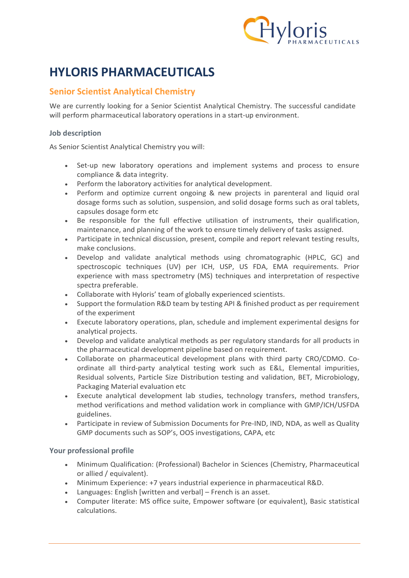

# HYLORIS PHARMACEUTICALS

## Senior Scientist Analytical Chemistry

We are currently looking for a Senior Scientist Analytical Chemistry. The successful candidate will perform pharmaceutical laboratory operations in a start-up environment.

#### Job description

As Senior Scientist Analytical Chemistry you will:

- Set-up new laboratory operations and implement systems and process to ensure compliance & data integrity.
- Perform the laboratory activities for analytical development.
- Perform and optimize current ongoing & new projects in parenteral and liquid oral dosage forms such as solution, suspension, and solid dosage forms such as oral tablets, capsules dosage form etc
- Be responsible for the full effective utilisation of instruments, their qualification, maintenance, and planning of the work to ensure timely delivery of tasks assigned.
- Participate in technical discussion, present, compile and report relevant testing results, make conclusions.
- Develop and validate analytical methods using chromatographic (HPLC, GC) and spectroscopic techniques (UV) per ICH, USP, US FDA, EMA requirements. Prior experience with mass spectrometry (MS) techniques and interpretation of respective spectra preferable.
- Collaborate with Hyloris' team of globally experienced scientists.
- Support the formulation R&D team by testing API & finished product as per requirement of the experiment
- Execute laboratory operations, plan, schedule and implement experimental designs for analytical projects.
- Develop and validate analytical methods as per regulatory standards for all products in the pharmaceutical development pipeline based on requirement.
- Collaborate on pharmaceutical development plans with third party CRO/CDMO. Coordinate all third-party analytical testing work such as E&L, Elemental impurities, Residual solvents, Particle Size Distribution testing and validation, BET, Microbiology, Packaging Material evaluation etc
- Execute analytical development lab studies, technology transfers, method transfers, method verifications and method validation work in compliance with GMP/ICH/USFDA guidelines.
- Participate in review of Submission Documents for Pre-IND, IND, NDA, as well as Quality GMP documents such as SOP's, OOS investigations, CAPA, etc

#### Your professional profile

- Minimum Qualification: (Professional) Bachelor in Sciences (Chemistry, Pharmaceutical or allied / equivalent).
- Minimum Experience: +7 years industrial experience in pharmaceutical R&D.
- Languages: English [written and verbal] French is an asset.
- Computer literate: MS office suite, Empower software (or equivalent), Basic statistical calculations.